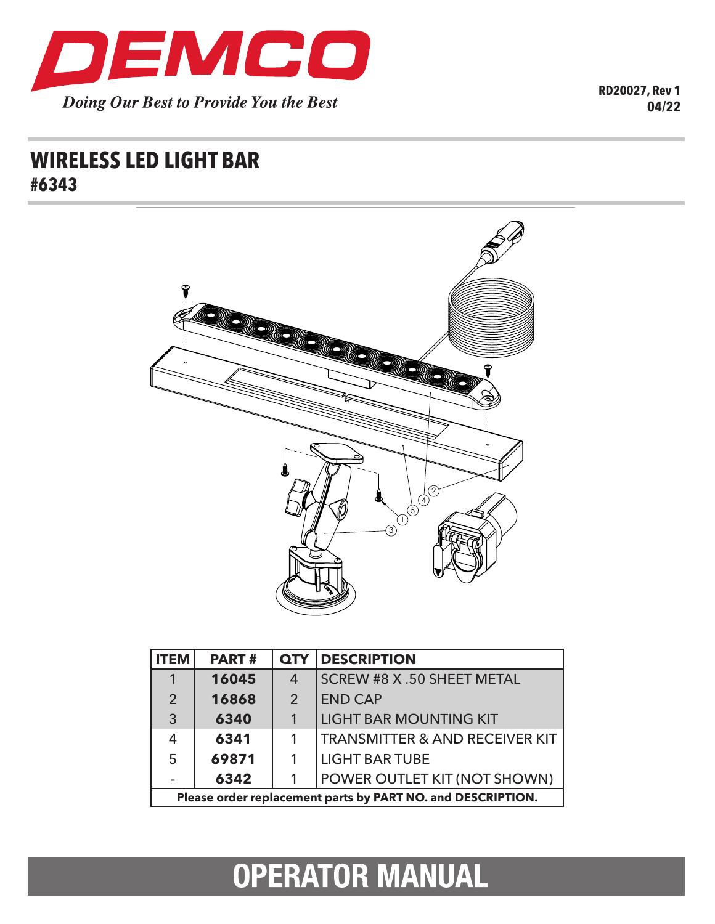

**RD20027, Rev 1 04/22**

## **WIRELESS LED LIGHT BAR #6343**



| <b>ITEM</b>                                                 | <b>PART#</b> | <b>QTY</b>     | <b>DESCRIPTION</b>                        |
|-------------------------------------------------------------|--------------|----------------|-------------------------------------------|
|                                                             | 16045        | $\overline{4}$ | SCREW #8 X .50 SHEET METAL                |
| 2                                                           | 16868        | $\overline{2}$ | <b>END CAP</b>                            |
| 3                                                           | 6340         |                | <b>LIGHT BAR MOUNTING KIT</b>             |
| $\overline{4}$                                              | 6341         |                | <b>TRANSMITTER &amp; AND RECEIVER KIT</b> |
| 5                                                           | 69871        |                | <b>LIGHT BAR TUBE</b>                     |
|                                                             | 6342         |                | POWER OUTLET KIT (NOT SHOWN)              |
| Please order replacement parts by PART NO. and DESCRIPTION. |              |                |                                           |

# **OPERATOR MANUAL**